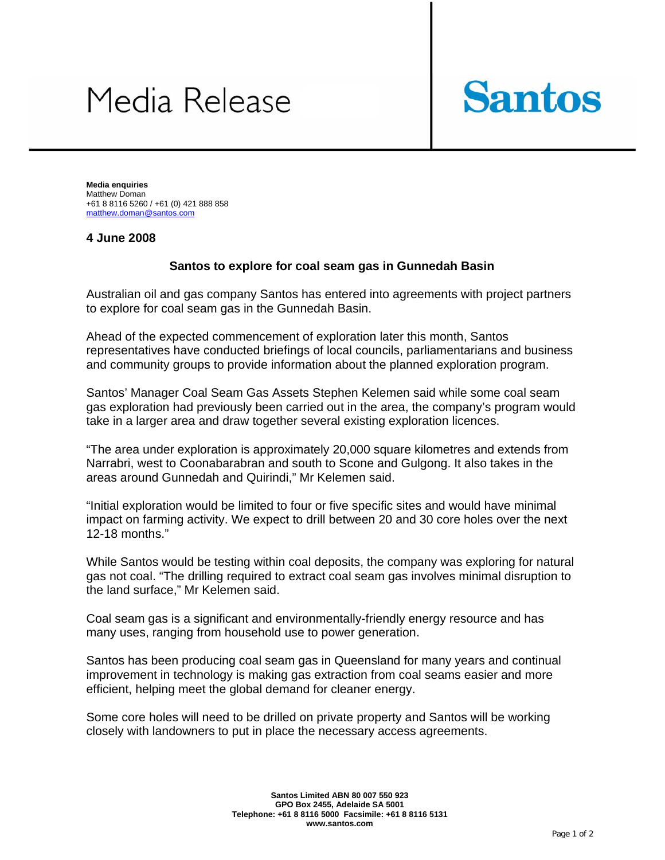## Media Release



**Media enquiries**  Matthew Doman +61 8 8116 5260 / +61 (0) 421 888 858 matthew.doman@santos.com

## **4 June 2008**

## **Santos to explore for coal seam gas in Gunnedah Basin**

Australian oil and gas company Santos has entered into agreements with project partners to explore for coal seam gas in the Gunnedah Basin.

Ahead of the expected commencement of exploration later this month, Santos representatives have conducted briefings of local councils, parliamentarians and business and community groups to provide information about the planned exploration program.

Santos' Manager Coal Seam Gas Assets Stephen Kelemen said while some coal seam gas exploration had previously been carried out in the area, the company's program would take in a larger area and draw together several existing exploration licences.

"The area under exploration is approximately 20,000 square kilometres and extends from Narrabri, west to Coonabarabran and south to Scone and Gulgong. It also takes in the areas around Gunnedah and Quirindi," Mr Kelemen said.

"Initial exploration would be limited to four or five specific sites and would have minimal impact on farming activity. We expect to drill between 20 and 30 core holes over the next 12-18 months."

While Santos would be testing within coal deposits, the company was exploring for natural gas not coal. "The drilling required to extract coal seam gas involves minimal disruption to the land surface," Mr Kelemen said.

Coal seam gas is a significant and environmentally-friendly energy resource and has many uses, ranging from household use to power generation.

Santos has been producing coal seam gas in Queensland for many years and continual improvement in technology is making gas extraction from coal seams easier and more efficient, helping meet the global demand for cleaner energy.

Some core holes will need to be drilled on private property and Santos will be working closely with landowners to put in place the necessary access agreements.